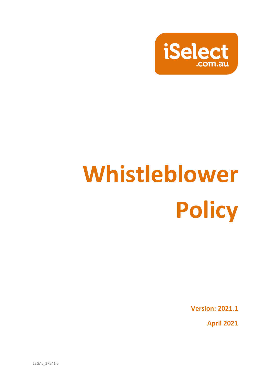

# **Whistleblower Policy**

**Version: 2021.1**

**April 2021**

LEGAL\_37541.5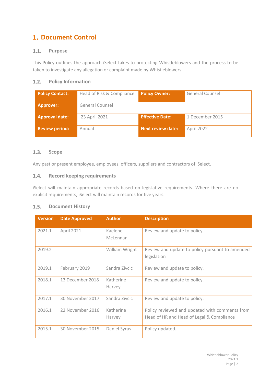# **Document Control**

#### $1.1.$ **Purpose**

This Policy outlines the approach iSelect takes to protecting Whistleblowers and the process to be taken to investigate any allegation or complaint made by Whistleblowers.

## **Policy Information**

| <b>Policy Contact:</b> | Head of Risk & Compliance | <b>Policy Owner:</b>     | General Counsel |
|------------------------|---------------------------|--------------------------|-----------------|
| <b>Approver:</b>       | General Counsel           |                          |                 |
| <b>Approval date:</b>  | 23 April 2021             | <b>Effective Date:</b>   | 1 December 2015 |
| <b>Review period:</b>  | Annual                    | <b>Next review date:</b> | April 2022      |

#### $1.3.$ **Scope**

Any past or present employee, employees, officers, suppliers and contractors of iSelect.

#### $1.4.$ **Record keeping requirements**

iSelect will maintain appropriate records based on legislative requirements. Where there are no explicit requirements, iSelect will maintain records for five years.

#### $1.5.$ **Document History**

| <b>Version</b> | <b>Date Approved</b> | <b>Author</b>       | <b>Description</b>                                             |
|----------------|----------------------|---------------------|----------------------------------------------------------------|
| 2021.1         | April 2021           | Kaelene<br>McLennan | Review and update to policy.                                   |
|                |                      |                     |                                                                |
| 2019.2         |                      | William Wright      | Review and update to policy pursuant to amended<br>legislation |
| 2019.1         | February 2019        | Sandra Zivcic       | Review and update to policy.                                   |
| 2018.1         | 13 December 2018     | Katherine<br>Harvey | Review and update to policy.                                   |
| 2017.1         | 30 November 2017     | Sandra Zivcic       | Review and update to policy.                                   |
| 2016.1         | 22 November 2016     | Katherine           | Policy reviewed and updated with comments from                 |
|                |                      | Harvey              | Head of HR and Head of Legal & Compliance                      |
| 2015.1         | 30 November 2015     | Daniel Syrus        | Policy updated.                                                |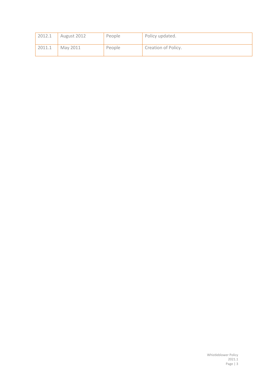| 2012.1 | August 2012 | People | Policy updated.     |
|--------|-------------|--------|---------------------|
| 2011.1 | May 2011    | People | Creation of Policy. |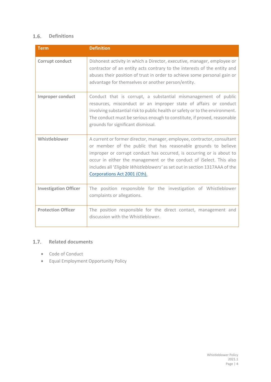## **Definitions**

| <b>Term</b>                  | <b>Definition</b>                                                                                                                                                                                                                                                                                                                                                                                        |
|------------------------------|----------------------------------------------------------------------------------------------------------------------------------------------------------------------------------------------------------------------------------------------------------------------------------------------------------------------------------------------------------------------------------------------------------|
| <b>Corrupt conduct</b>       | Dishonest activity in which a Director, executive, manager, employee or<br>contractor of an entity acts contrary to the interests of the entity and<br>abuses their position of trust in order to achieve some personal gain or<br>advantage for themselves or another person/entity.                                                                                                                    |
| <b>Improper conduct</b>      | Conduct that is corrupt, a substantial mismanagement of public<br>resources, misconduct or an improper state of affairs or conduct<br>involving substantial risk to public health or safety or to the environment.<br>The conduct must be serious enough to constitute, if proved, reasonable<br>grounds for significant dismissal.                                                                      |
| Whistleblower                | A current or former director, manager, employee, contractor, consultant<br>or member of the public that has reasonable grounds to believe<br>improper or corrupt conduct has occurred, is occurring or is about to<br>occur in either the management or the conduct of iSelect. This also<br>includes all 'Eligible Whistleblowers' as set out in section 1317AAA of the<br>Corporations Act 2001 (Cth). |
| <b>Investigation Officer</b> | The position responsible for the investigation of Whistleblower<br>complaints or allegations.                                                                                                                                                                                                                                                                                                            |
| <b>Protection Officer</b>    | The position responsible for the direct contact, management and<br>discussion with the Whistleblower.                                                                                                                                                                                                                                                                                                    |

## 1.7. Related documents

- Code of Conduct
- Equal Employment Opportunity Policy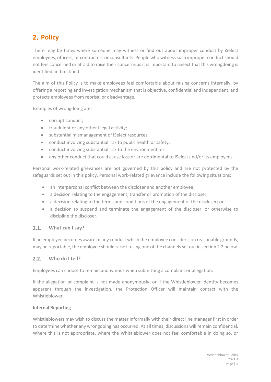# **2. Policy**

There may be times where someone may witness or find out about improper conduct by iSelect employees, officers, or contractors or consultants. People who witness such improper conduct should not feel concerned or afraid to raise their concerns as it is important to iSelect that this wrongdoing is identified and rectified.

The aim of this Policy is to make employees feel comfortable about raising concerns internally, by offering a reporting and investigation mechanism that is objective, confidential and independent, and protects employees from reprisal or disadvantage.

Examples of wrongdoing are:

- corrupt conduct;
- fraudulent or any other illegal activity:
- substantial mismanagement of iSelect resources;
- conduct involving substantial risk to public health or safety;
- conduct involving substantial risk to the environment; or
- any other conduct that could cause loss or are detrimental to iSelect and/or its employees.

Personal work-related grievances are not governed by this policy and are not protected by the safeguards set out in this policy. Personal work-related grievance include the following situations:

- an interpersonal conflict between the discloser and another employee;
- a decision relating to the engagement, transfer or promotion of the discloser;
- a decision relating to the terms and conditions of the engagement of the discloser; or
- a decision to suspend and terminate the engagement of the discloser, or otherwise to discipline the discloser.

#### $2.1.$ **What can I say?**

If an employee becomes aware of any conduct which the employee considers, on reasonable grounds, may be reportable, the employee should raise it using one of the channels set out in section 2.2 below.

#### $2.2.$ **Who do I tell?**

Employees can choose to remain anonymous when submitting a complaint or allegation.

If the allegation or complaint is not made anonymously, or if the Whistleblower identity becomes apparent through the investigation, the Protection Officer will maintain contact with the Whistleblower.

## **Internal Reporting**

Whistleblowers may wish to discuss the matter informally with their direct line manager first in order to determine whether any wrongdoing has occurred. At all times, discussions will remain confidential. Where this is not appropriate, where the Whistleblower does not feel comfortable in doing so, or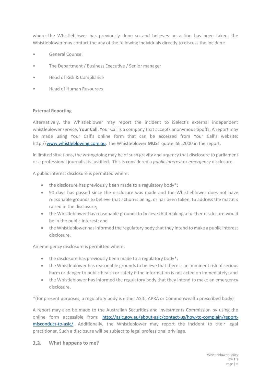where the Whistleblower has previously done so and believes no action has been taken, the Whistleblower may contact the any of the following individuals directly to discuss the incident:

- General Counsel
- The Department / Business Executive / Senior manager
- Head of Risk & Compliance
- Head of Human Resources

## **External Reporting**

Alternatively, the Whistleblower may report the incident to iSelect's external independent whistleblower service, **Your Call**. Your Call is a company that accepts anonymous tipoffs. A report may be made using Your Call's online form that can be accessed from Your Call's website: http:/[/www.whistleblowing.com.au.](http://www.whistleblowing.com.au/) The Whistleblower **MUST** quote ISEL2000 in the report.

In limited situations, the wrongdoing may be of such gravity and urgency that disclosure to parliament or a professional journalist is justified. This is considered a *public interest* or *emergency* disclosure.

A public interest disclosure is permitted where:

- the disclosure has previously been made to a regulatory body\*;
- 90 days has passed since the disclosure was made and the Whistleblower does not have reasonable grounds to believe that action is being, or has been taken, to address the matters raised in the disclosure;
- the Whistleblower has reasonable grounds to believe that making a further disclosure would be in the public interest; and
- the Whistleblower has informed the regulatory body that they intend to make a public interest disclosure.

An emergency disclosure is permitted where:

- the disclosure has previously been made to a regulatory body\*:
- the Whistleblower has reasonable grounds to believe that there is an imminent risk of serious harm or danger to public health or safety if the information is not acted on immediately; and
- the Whistleblower has informed the regulatory body that they intend to make an emergency disclosure.

\*(for present purposes, a regulatory body is either ASIC, APRA or Commonwealth prescribed body)

A report may also be made to the Australian Securities and Investments Commission by using the online form accessible from: [http://asic.gov.au/about-asic/contact-us/how-to-complain/report](http://asic.gov.au/about-asic/contact-us/how-to-complain/report-misconduct-to-asic/)[misconduct-to-asic/.](http://asic.gov.au/about-asic/contact-us/how-to-complain/report-misconduct-to-asic/) Additionally, the Whistleblower may report the incident to their legal practitioner. Such a disclosure will be subject to legal professional privilege.

### **What happens to me?**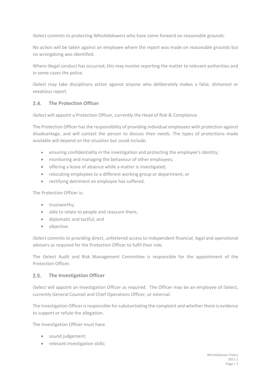iSelect commits to protecting Whistleblowers who have come forward on reasonable grounds.

No action will be taken against an employee where the report was made on reasonable grounds but no wrongdoing was identified.

Where illegal conduct has occurred, this may involve reporting the matter to relevant authorities and in some cases the police.

iSelect may take disciplinary action against anyone who deliberately makes a false, dishonest or vexatious report.

#### **The Protection Officer**  $2.4.$

iSelect will appoint a Protection Officer, currently the Head of Risk & Compliance.

The Protection Officer has the responsibility of providing individual employees with protection against disadvantage, and will contact the person to discuss their needs. The types of protections made available will depend on the situation but could include:

- ensuring confidentiality in the investigation and protecting the employee's identity;
- monitoring and managing the behaviour of other employees;
- offering a leave of absence while a matter is investigated;
- relocating employees to a different working group or department; or
- rectifying detriment an employee has suffered.

The Protection Officer is:

- trustworthy;
- able to relate to people and reassure them;
- diplomatic and tactful; and
- objective.

iSelect commits to providing direct, unfettered access to independent financial, legal and operational advisers as required for the Protection Officer to fulfil their role.

The iSelect Audit and Risk Management Committee is responsible for the appointment of the Protection Officer.

#### $2.5.$ **The Investigation Officer**

iSelect will appoint an Investigation Officer as required. The Officer may be an employee of iSelect, currently General Counsel and Chief Operations Officer, or external.

The Investigation Officer is responsible for substantiating the complaint and whether there is evidence to support or refute the allegation.

The Investigation Officer must have

- sound judgement:
- relevant investigation skills;